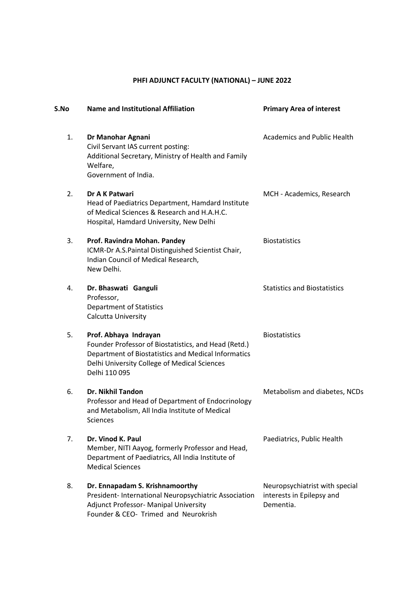## **PHFI ADJUNCT FACULTY (NATIONAL) – JUNE 2022**

| S.No | <b>Name and Institutional Affiliation</b>                                                                                                                                                             | <b>Primary Area of interest</b>                                          |
|------|-------------------------------------------------------------------------------------------------------------------------------------------------------------------------------------------------------|--------------------------------------------------------------------------|
| 1.   | Dr Manohar Agnani<br>Civil Servant IAS current posting:<br>Additional Secretary, Ministry of Health and Family<br>Welfare,<br>Government of India.                                                    | <b>Academics and Public Health</b>                                       |
| 2.   | Dr A K Patwari<br>Head of Paediatrics Department, Hamdard Institute<br>of Medical Sciences & Research and H.A.H.C.<br>Hospital, Hamdard University, New Delhi                                         | MCH - Academics, Research                                                |
| 3.   | Prof. Ravindra Mohan. Pandey<br>ICMR-Dr A.S. Paintal Distinguished Scientist Chair,<br>Indian Council of Medical Research,<br>New Delhi.                                                              | <b>Biostatistics</b>                                                     |
| 4.   | Dr. Bhaswati Ganguli<br>Professor,<br><b>Department of Statistics</b><br>Calcutta University                                                                                                          | <b>Statistics and Biostatistics</b>                                      |
| 5.   | Prof. Abhaya Indrayan<br>Founder Professor of Biostatistics, and Head (Retd.)<br>Department of Biostatistics and Medical Informatics<br>Delhi University College of Medical Sciences<br>Delhi 110 095 | <b>Biostatistics</b>                                                     |
| 6.   | Dr. Nikhil Tandon<br>Professor and Head of Department of Endocrinology<br>and Metabolism, All India Institute of Medical<br>Sciences                                                                  | Metabolism and diabetes, NCDs                                            |
| 7.   | Dr. Vinod K. Paul<br>Member, NITI Aayog, formerly Professor and Head,<br>Department of Paediatrics, All India Institute of<br><b>Medical Sciences</b>                                                 | Paediatrics, Public Health                                               |
| 8.   | Dr. Ennapadam S. Krishnamoorthy<br>President- International Neuropsychiatric Association<br>Adjunct Professor- Manipal University<br>Founder & CEO- Trimed and Neurokrish                             | Neuropsychiatrist with special<br>interests in Epilepsy and<br>Dementia. |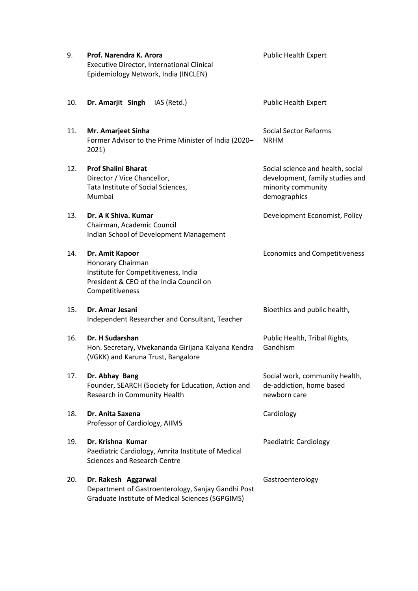| 9.  | Prof. Narendra K. Arora<br><b>Executive Director, International Clinical</b><br>Epidemiology Network, India (INCLEN)                       | <b>Public Health Expert</b>                                                                                |
|-----|--------------------------------------------------------------------------------------------------------------------------------------------|------------------------------------------------------------------------------------------------------------|
| 10. | Dr. Amarjit Singh<br>IAS (Retd.)                                                                                                           | <b>Public Health Expert</b>                                                                                |
| 11. | Mr. Amarjeet Sinha<br>Former Advisor to the Prime Minister of India (2020-<br>2021)                                                        | <b>Social Sector Reforms</b><br><b>NRHM</b>                                                                |
| 12. | <b>Prof Shalini Bharat</b><br>Director / Vice Chancellor,<br>Tata Institute of Social Sciences,<br>Mumbai                                  | Social science and health, social<br>development, family studies and<br>minority community<br>demographics |
| 13. | Dr. A K Shiva, Kumar<br>Chairman, Academic Council<br>Indian School of Development Management                                              | Development Economist, Policy                                                                              |
| 14. | Dr. Amit Kapoor<br>Honorary Chairman<br>Institute for Competitiveness, India<br>President & CEO of the India Council on<br>Competitiveness | <b>Economics and Competitiveness</b>                                                                       |
| 15. | Dr. Amar Jesani<br>Independent Researcher and Consultant, Teacher                                                                          | Bioethics and public health,                                                                               |
| 16. | Dr. H Sudarshan<br>Hon. Secretary, Vivekananda Girijana Kalyana Kendra<br>(VGKK) and Karuna Trust, Bangalore                               | Public Health, Tribal Rights,<br>Gandhism                                                                  |
| 17. | Dr. Abhay Bang<br>Founder, SEARCH (Society for Education, Action and<br>Research in Community Health                                       | Social work, community health,<br>de-addiction, home based<br>newborn care                                 |
| 18. | Dr. Anita Saxena<br>Professor of Cardiology, AIIMS                                                                                         | Cardiology                                                                                                 |
| 19. | Dr. Krishna Kumar<br>Paediatric Cardiology, Amrita Institute of Medical<br><b>Sciences and Research Centre</b>                             | Paediatric Cardiology                                                                                      |
| 20. | Dr. Rakesh Aggarwal<br>Department of Gastroenterology, Sanjay Gandhi Post<br>Graduate Institute of Medical Sciences (SGPGIMS)              | Gastroenterology                                                                                           |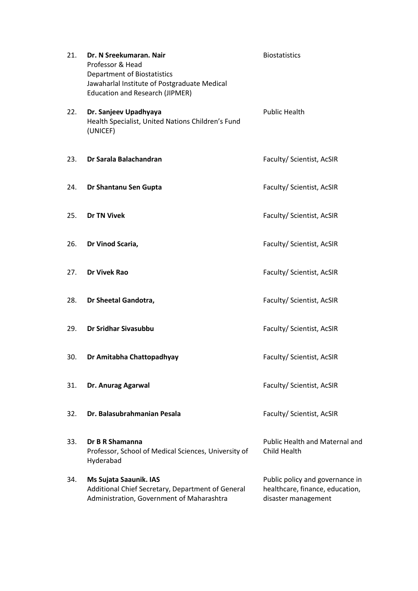| 21. | Dr. N Sreekumaran. Nair<br>Professor & Head<br><b>Department of Biostatistics</b><br>Jawaharlal Institute of Postgraduate Medical<br><b>Education and Research (JIPMER)</b> | <b>Biostatistics</b>                                                                      |
|-----|-----------------------------------------------------------------------------------------------------------------------------------------------------------------------------|-------------------------------------------------------------------------------------------|
| 22. | Dr. Sanjeev Upadhyaya<br>Health Specialist, United Nations Children's Fund<br>(UNICEF)                                                                                      | <b>Public Health</b>                                                                      |
| 23. | Dr Sarala Balachandran                                                                                                                                                      | Faculty/ Scientist, AcSIR                                                                 |
| 24. | Dr Shantanu Sen Gupta                                                                                                                                                       | Faculty/ Scientist, AcSIR                                                                 |
| 25. | <b>Dr TN Vivek</b>                                                                                                                                                          | Faculty/ Scientist, AcSIR                                                                 |
| 26. | Dr Vinod Scaria,                                                                                                                                                            | Faculty/ Scientist, AcSIR                                                                 |
| 27. | <b>Dr Vivek Rao</b>                                                                                                                                                         | Faculty/ Scientist, AcSIR                                                                 |
| 28. | Dr Sheetal Gandotra,                                                                                                                                                        | Faculty/ Scientist, AcSIR                                                                 |
| 29. | <b>Dr Sridhar Sivasubbu</b>                                                                                                                                                 | Faculty/ Scientist, AcSIR                                                                 |
| 30. | Dr Amitabha Chattopadhyay                                                                                                                                                   | Faculty/ Scientist, AcSIR                                                                 |
| 31. | Dr. Anurag Agarwal                                                                                                                                                          | Faculty/ Scientist, AcSIR                                                                 |
| 32. | Dr. Balasubrahmanian Pesala                                                                                                                                                 | Faculty/ Scientist, AcSIR                                                                 |
| 33. | Dr B R Shamanna<br>Professor, School of Medical Sciences, University of<br>Hyderabad                                                                                        | <b>Public Health and Maternal and</b><br>Child Health                                     |
| 34. | Ms Sujata Saaunik. IAS<br>Additional Chief Secretary, Department of General<br>Administration, Government of Maharashtra                                                    | Public policy and governance in<br>healthcare, finance, education,<br>disaster management |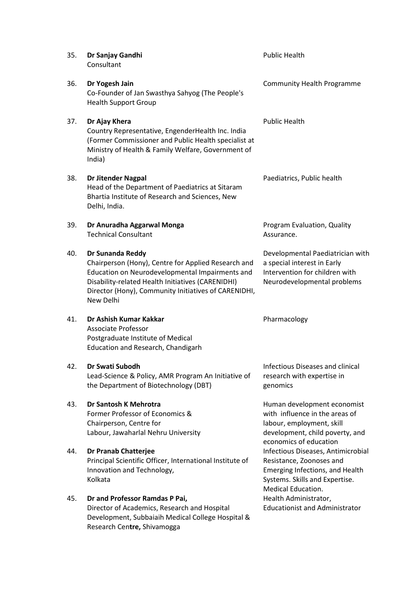| 35. | Dr Sanjay Gandhi<br>Consultant                                                                                                                                                                                                                       | <b>Public Health</b>                                                                                                                                      |
|-----|------------------------------------------------------------------------------------------------------------------------------------------------------------------------------------------------------------------------------------------------------|-----------------------------------------------------------------------------------------------------------------------------------------------------------|
| 36. | Dr Yogesh Jain<br>Co-Founder of Jan Swasthya Sahyog (The People's<br><b>Health Support Group</b>                                                                                                                                                     | <b>Community Health Programme</b>                                                                                                                         |
| 37. | Dr Ajay Khera<br>Country Representative, EngenderHealth Inc. India<br>(Former Commissioner and Public Health specialist at<br>Ministry of Health & Family Welfare, Government of<br>India)                                                           | <b>Public Health</b>                                                                                                                                      |
| 38. | <b>Dr Jitender Nagpal</b><br>Head of the Department of Paediatrics at Sitaram<br>Bhartia Institute of Research and Sciences, New<br>Delhi, India.                                                                                                    | Paediatrics, Public health                                                                                                                                |
| 39. | Dr Anuradha Aggarwal Monga<br><b>Technical Consultant</b>                                                                                                                                                                                            | Program Evaluation, Quality<br>Assurance.                                                                                                                 |
| 40. | Dr Sunanda Reddy<br>Chairperson (Hony), Centre for Applied Research and<br>Education on Neurodevelopmental Impairments and<br>Disability-related Health Initiatives (CARENIDHI)<br>Director (Hony), Community Initiatives of CARENIDHI,<br>New Delhi | Developmental Paediatrician with<br>a special interest in Early<br>Intervention for children with<br>Neurodevelopmental problems                          |
| 41. | Dr Ashish Kumar Kakkar<br>Associate Professor<br>Postgraduate Institute of Medical<br>Education and Research, Chandigarh                                                                                                                             | Pharmacology                                                                                                                                              |
| 42. | Dr Swati Subodh<br>Lead-Science & Policy, AMR Program An Initiative of<br>the Department of Biotechnology (DBT)                                                                                                                                      | Infectious Diseases and clinical<br>research with expertise in<br>genomics                                                                                |
| 43. | Dr Santosh K Mehrotra<br>Former Professor of Economics &<br>Chairperson, Centre for<br>Labour, Jawaharlal Nehru University                                                                                                                           | Human development economist<br>with influence in the areas of<br>labour, employment, skill<br>development, child poverty, and<br>economics of education   |
| 44. | Dr Pranab Chatterjee<br>Principal Scientific Officer, International Institute of<br>Innovation and Technology,<br>Kolkata                                                                                                                            | Infectious Diseases, Antimicrobial<br>Resistance, Zoonoses and<br>Emerging Infections, and Health<br>Systems. Skills and Expertise.<br>Medical Education. |
| 45. | Dr and Professor Ramdas P Pai,<br>Director of Academics, Research and Hospital<br>Development, Subbaiaih Medical College Hospital &<br>Research Centre, Shivamogga                                                                                   | Health Administrator,<br><b>Educationist and Administrator</b>                                                                                            |